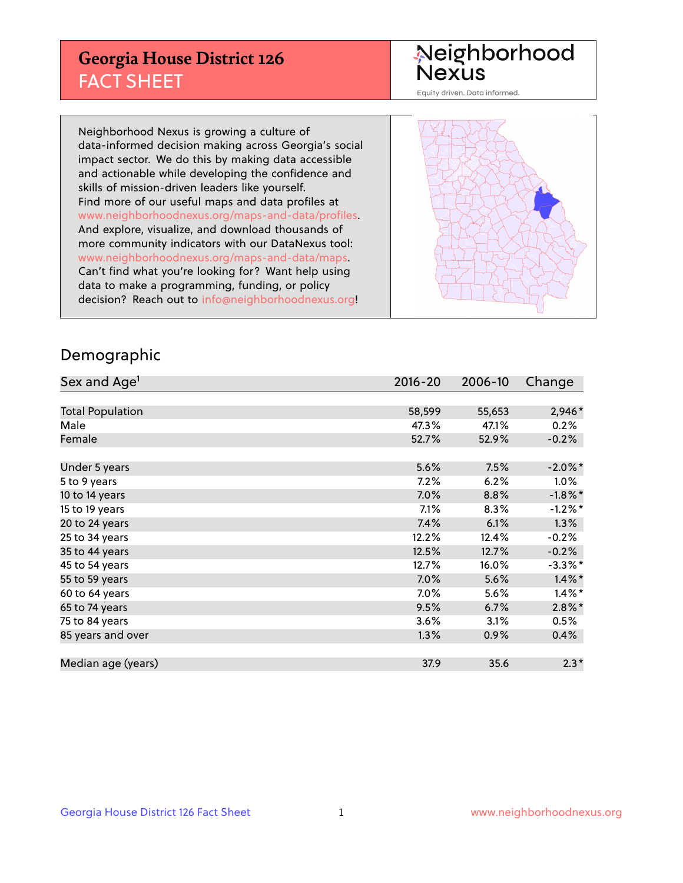## **Georgia House District 126** FACT SHEET

# Neighborhood<br>Nexus

Equity driven. Data informed.

Neighborhood Nexus is growing a culture of data-informed decision making across Georgia's social impact sector. We do this by making data accessible and actionable while developing the confidence and skills of mission-driven leaders like yourself. Find more of our useful maps and data profiles at www.neighborhoodnexus.org/maps-and-data/profiles. And explore, visualize, and download thousands of more community indicators with our DataNexus tool: www.neighborhoodnexus.org/maps-and-data/maps. Can't find what you're looking for? Want help using data to make a programming, funding, or policy decision? Reach out to [info@neighborhoodnexus.org!](mailto:info@neighborhoodnexus.org)



### Demographic

| Sex and Age <sup>1</sup> | $2016 - 20$ | 2006-10 | Change     |
|--------------------------|-------------|---------|------------|
|                          |             |         |            |
| <b>Total Population</b>  | 58,599      | 55,653  | 2,946*     |
| Male                     | 47.3%       | 47.1%   | 0.2%       |
| Female                   | 52.7%       | 52.9%   | $-0.2%$    |
|                          |             |         |            |
| Under 5 years            | 5.6%        | 7.5%    | $-2.0\%$ * |
| 5 to 9 years             | 7.2%        | 6.2%    | $1.0\%$    |
| 10 to 14 years           | 7.0%        | 8.8%    | $-1.8\%$ * |
| 15 to 19 years           | 7.1%        | 8.3%    | $-1.2%$ *  |
| 20 to 24 years           | 7.4%        | 6.1%    | 1.3%       |
| 25 to 34 years           | 12.2%       | 12.4%   | $-0.2%$    |
| 35 to 44 years           | 12.5%       | 12.7%   | $-0.2%$    |
| 45 to 54 years           | 12.7%       | 16.0%   | $-3.3\%$ * |
| 55 to 59 years           | 7.0%        | 5.6%    | $1.4\%$ *  |
| 60 to 64 years           | 7.0%        | 5.6%    | $1.4\%$ *  |
| 65 to 74 years           | 9.5%        | 6.7%    | $2.8\%$ *  |
| 75 to 84 years           | 3.6%        | 3.1%    | 0.5%       |
| 85 years and over        | 1.3%        | 0.9%    | 0.4%       |
|                          |             |         |            |
| Median age (years)       | 37.9        | 35.6    | $2.3*$     |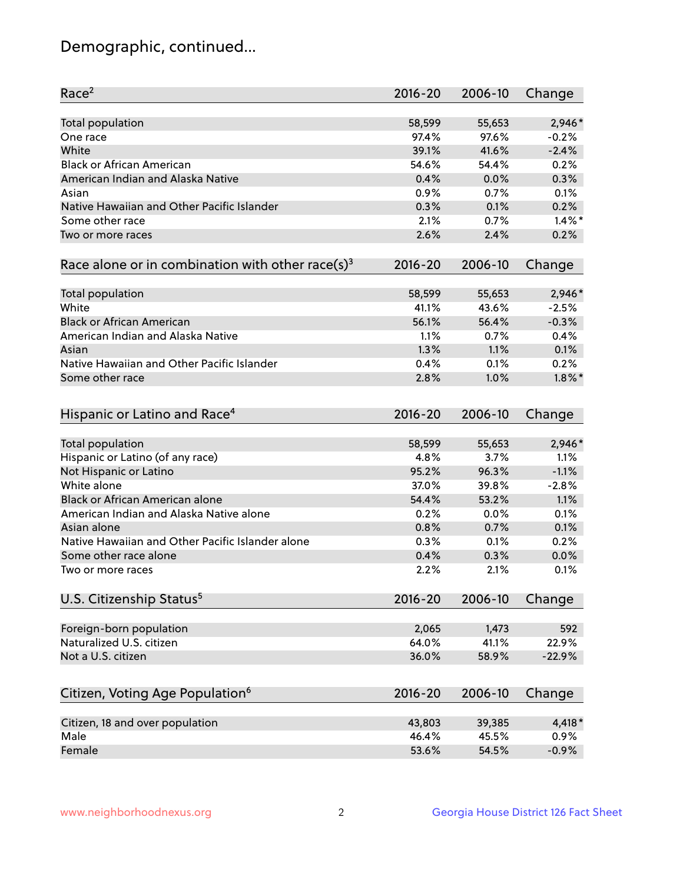## Demographic, continued...

| Race <sup>2</sup>                                            | $2016 - 20$ | 2006-10         | Change    |
|--------------------------------------------------------------|-------------|-----------------|-----------|
| <b>Total population</b>                                      | 58,599      | 55,653          | 2,946*    |
| One race                                                     | 97.4%       | 97.6%           | $-0.2%$   |
| White                                                        | 39.1%       | 41.6%           | $-2.4%$   |
| <b>Black or African American</b>                             | 54.6%       | 54.4%           | 0.2%      |
| American Indian and Alaska Native                            | 0.4%        | 0.0%            | 0.3%      |
| Asian                                                        | 0.9%        | 0.7%            | 0.1%      |
| Native Hawaiian and Other Pacific Islander                   | 0.3%        | 0.1%            | 0.2%      |
| Some other race                                              | 2.1%        | 0.7%            | $1.4\%$ * |
| Two or more races                                            | 2.6%        | 2.4%            | 0.2%      |
| Race alone or in combination with other race(s) <sup>3</sup> | $2016 - 20$ | 2006-10         | Change    |
|                                                              | 58,599      |                 | 2,946*    |
| Total population<br>White                                    | 41.1%       | 55,653<br>43.6% | $-2.5%$   |
| <b>Black or African American</b>                             | 56.1%       | 56.4%           | $-0.3%$   |
| American Indian and Alaska Native                            | 1.1%        | 0.7%            | 0.4%      |
| Asian                                                        | 1.3%        | 1.1%            | 0.1%      |
| Native Hawaiian and Other Pacific Islander                   | 0.4%        | 0.1%            | 0.2%      |
|                                                              |             |                 |           |
| Some other race                                              | 2.8%        | 1.0%            | $1.8\%$ * |
| Hispanic or Latino and Race <sup>4</sup>                     | $2016 - 20$ | 2006-10         | Change    |
| <b>Total population</b>                                      | 58,599      | 55,653          | 2,946*    |
| Hispanic or Latino (of any race)                             | 4.8%        | 3.7%            | 1.1%      |
| Not Hispanic or Latino                                       | 95.2%       | 96.3%           | $-1.1%$   |
| White alone                                                  | 37.0%       | 39.8%           | $-2.8%$   |
| <b>Black or African American alone</b>                       | 54.4%       | 53.2%           | 1.1%      |
| American Indian and Alaska Native alone                      | 0.2%        | 0.0%            | 0.1%      |
| Asian alone                                                  | 0.8%        | 0.7%            | 0.1%      |
| Native Hawaiian and Other Pacific Islander alone             | 0.3%        | 0.1%            | 0.2%      |
| Some other race alone                                        | 0.4%        | 0.3%            | 0.0%      |
| Two or more races                                            | 2.2%        | 2.1%            | 0.1%      |
| U.S. Citizenship Status <sup>5</sup>                         | $2016 - 20$ | 2006-10         | Change    |
|                                                              |             |                 |           |
| Foreign-born population<br>Naturalized U.S. citizen          | 2,065       | 1,473           | 592       |
|                                                              | 64.0%       | 41.1%           | 22.9%     |
| Not a U.S. citizen                                           | 36.0%       | 58.9%           | $-22.9%$  |
| Citizen, Voting Age Population <sup>6</sup>                  | $2016 - 20$ | 2006-10         | Change    |
| Citizen, 18 and over population                              | 43,803      | 39,385          | 4,418 *   |
| Male                                                         | 46.4%       | 45.5%           | 0.9%      |
| Female                                                       | 53.6%       | 54.5%           | $-0.9%$   |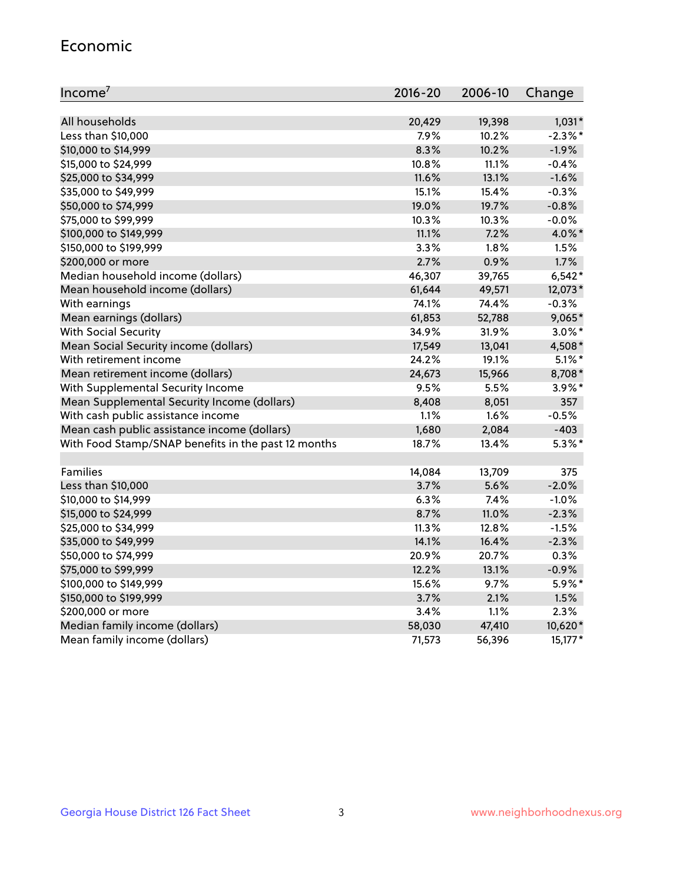#### Economic

| Income <sup>7</sup>                                 | $2016 - 20$ | 2006-10 | Change     |
|-----------------------------------------------------|-------------|---------|------------|
|                                                     |             |         |            |
| All households                                      | 20,429      | 19,398  | $1,031*$   |
| Less than \$10,000                                  | 7.9%        | 10.2%   | $-2.3\%$ * |
| \$10,000 to \$14,999                                | 8.3%        | 10.2%   | $-1.9%$    |
| \$15,000 to \$24,999                                | 10.8%       | 11.1%   | $-0.4%$    |
| \$25,000 to \$34,999                                | 11.6%       | 13.1%   | $-1.6%$    |
| \$35,000 to \$49,999                                | 15.1%       | 15.4%   | $-0.3%$    |
| \$50,000 to \$74,999                                | 19.0%       | 19.7%   | $-0.8%$    |
| \$75,000 to \$99,999                                | 10.3%       | 10.3%   | $-0.0%$    |
| \$100,000 to \$149,999                              | 11.1%       | 7.2%    | 4.0%*      |
| \$150,000 to \$199,999                              | 3.3%        | 1.8%    | 1.5%       |
| \$200,000 or more                                   | 2.7%        | 0.9%    | 1.7%       |
| Median household income (dollars)                   | 46,307      | 39,765  | $6,542*$   |
| Mean household income (dollars)                     | 61,644      | 49,571  | 12,073*    |
| With earnings                                       | 74.1%       | 74.4%   | $-0.3%$    |
| Mean earnings (dollars)                             | 61,853      | 52,788  | 9,065*     |
| <b>With Social Security</b>                         | 34.9%       | 31.9%   | $3.0\%$ *  |
| Mean Social Security income (dollars)               | 17,549      | 13,041  | 4,508*     |
| With retirement income                              | 24.2%       | 19.1%   | $5.1\%$ *  |
| Mean retirement income (dollars)                    | 24,673      | 15,966  | 8,708*     |
| With Supplemental Security Income                   | 9.5%        | 5.5%    | $3.9\%$ *  |
| Mean Supplemental Security Income (dollars)         | 8,408       | 8,051   | 357        |
| With cash public assistance income                  | 1.1%        | 1.6%    | $-0.5%$    |
| Mean cash public assistance income (dollars)        | 1,680       | 2,084   | $-403$     |
| With Food Stamp/SNAP benefits in the past 12 months | 18.7%       | 13.4%   | $5.3\%$ *  |
|                                                     |             |         |            |
| Families                                            | 14,084      | 13,709  | 375        |
| Less than \$10,000                                  | 3.7%        | 5.6%    | $-2.0%$    |
| \$10,000 to \$14,999                                | 6.3%        | 7.4%    | $-1.0%$    |
| \$15,000 to \$24,999                                | 8.7%        | 11.0%   | $-2.3%$    |
| \$25,000 to \$34,999                                | 11.3%       | 12.8%   | $-1.5%$    |
| \$35,000 to \$49,999                                | 14.1%       | 16.4%   | $-2.3%$    |
| \$50,000 to \$74,999                                | 20.9%       | 20.7%   | 0.3%       |
| \$75,000 to \$99,999                                | 12.2%       | 13.1%   | $-0.9%$    |
| \$100,000 to \$149,999                              | 15.6%       | 9.7%    | 5.9%*      |
| \$150,000 to \$199,999                              | 3.7%        | 2.1%    | 1.5%       |
| \$200,000 or more                                   | 3.4%        | 1.1%    | 2.3%       |
| Median family income (dollars)                      | 58,030      | 47,410  | 10,620*    |
| Mean family income (dollars)                        | 71,573      | 56,396  | $15,177*$  |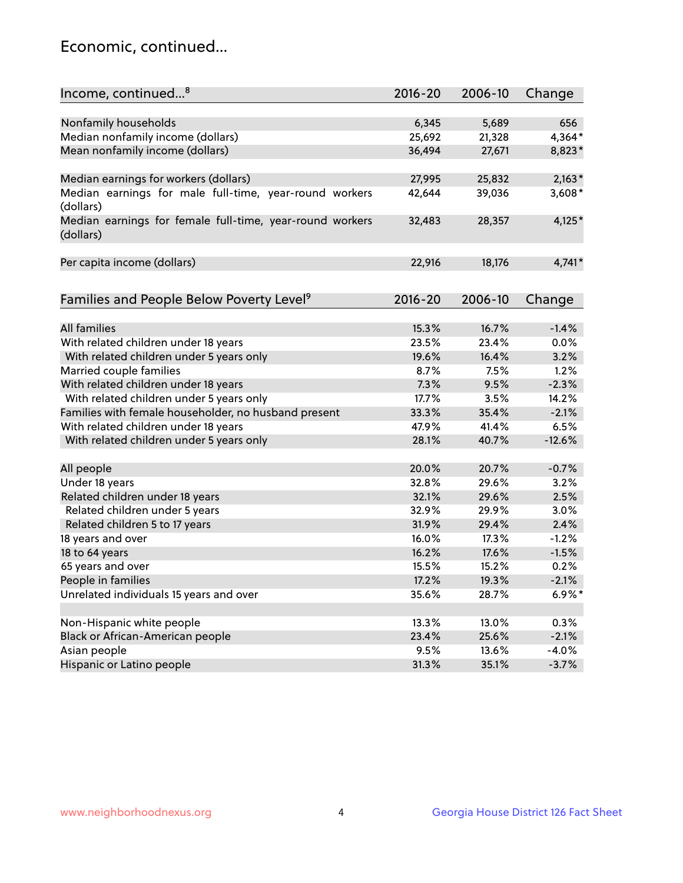## Economic, continued...

| Income, continued <sup>8</sup>                                        | $2016 - 20$ | 2006-10 | Change   |
|-----------------------------------------------------------------------|-------------|---------|----------|
|                                                                       |             |         |          |
| Nonfamily households                                                  | 6,345       | 5,689   | 656      |
| Median nonfamily income (dollars)                                     | 25,692      | 21,328  | 4,364*   |
| Mean nonfamily income (dollars)                                       | 36,494      | 27,671  | 8,823*   |
| Median earnings for workers (dollars)                                 | 27,995      | 25,832  | $2,163*$ |
| Median earnings for male full-time, year-round workers                | 42,644      | 39,036  | 3,608*   |
| (dollars)                                                             |             |         |          |
| Median earnings for female full-time, year-round workers<br>(dollars) | 32,483      | 28,357  | $4,125*$ |
| Per capita income (dollars)                                           | 22,916      | 18,176  | $4,741*$ |
|                                                                       |             |         |          |
| Families and People Below Poverty Level <sup>9</sup>                  | 2016-20     | 2006-10 | Change   |
| <b>All families</b>                                                   | 15.3%       | 16.7%   | $-1.4%$  |
| With related children under 18 years                                  | 23.5%       | 23.4%   | 0.0%     |
| With related children under 5 years only                              | 19.6%       | 16.4%   | 3.2%     |
| Married couple families                                               | 8.7%        | 7.5%    | 1.2%     |
| With related children under 18 years                                  | 7.3%        | 9.5%    | $-2.3%$  |
| With related children under 5 years only                              | 17.7%       | 3.5%    | 14.2%    |
| Families with female householder, no husband present                  | 33.3%       | 35.4%   | $-2.1%$  |
| With related children under 18 years                                  | 47.9%       | 41.4%   | 6.5%     |
| With related children under 5 years only                              | 28.1%       | 40.7%   | $-12.6%$ |
|                                                                       |             |         |          |
| All people                                                            | 20.0%       | 20.7%   | $-0.7%$  |
| Under 18 years                                                        | 32.8%       | 29.6%   | 3.2%     |
| Related children under 18 years                                       | 32.1%       | 29.6%   | 2.5%     |
| Related children under 5 years                                        | 32.9%       | 29.9%   | 3.0%     |
| Related children 5 to 17 years                                        | 31.9%       | 29.4%   | 2.4%     |
| 18 years and over                                                     | 16.0%       | 17.3%   | $-1.2%$  |
| 18 to 64 years                                                        | 16.2%       | 17.6%   | $-1.5%$  |
| 65 years and over                                                     | 15.5%       | 15.2%   | 0.2%     |
| People in families                                                    | 17.2%       | 19.3%   | $-2.1%$  |
| Unrelated individuals 15 years and over                               | 35.6%       | 28.7%   | $6.9\%*$ |
|                                                                       |             |         |          |
| Non-Hispanic white people                                             | 13.3%       | 13.0%   | 0.3%     |
| Black or African-American people                                      | 23.4%       | 25.6%   | $-2.1%$  |
| Asian people                                                          | 9.5%        | 13.6%   | $-4.0%$  |
| Hispanic or Latino people                                             | 31.3%       | 35.1%   | $-3.7%$  |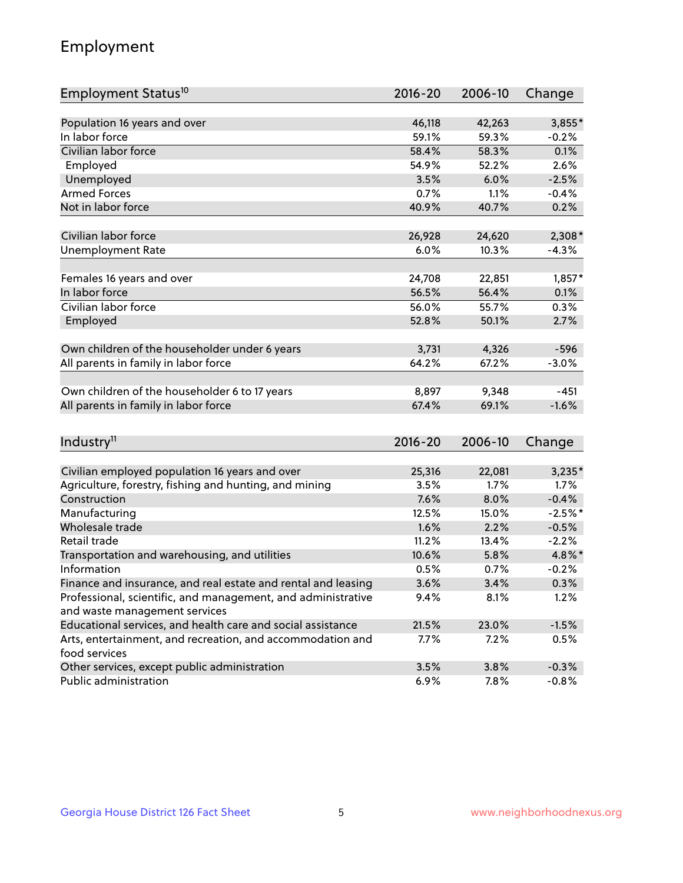## Employment

| Employment Status <sup>10</sup>                                             | $2016 - 20$ | 2006-10 | Change    |
|-----------------------------------------------------------------------------|-------------|---------|-----------|
|                                                                             |             |         |           |
| Population 16 years and over                                                | 46,118      | 42,263  | $3,855*$  |
| In labor force                                                              | 59.1%       | 59.3%   | $-0.2%$   |
| Civilian labor force                                                        | 58.4%       | 58.3%   | 0.1%      |
| Employed                                                                    | 54.9%       | 52.2%   | 2.6%      |
| Unemployed                                                                  | 3.5%        | 6.0%    | $-2.5%$   |
| <b>Armed Forces</b>                                                         | 0.7%        | 1.1%    | $-0.4%$   |
| Not in labor force                                                          | 40.9%       | 40.7%   | 0.2%      |
| Civilian labor force                                                        | 26,928      | 24,620  | $2,308*$  |
| <b>Unemployment Rate</b>                                                    | 6.0%        | 10.3%   | $-4.3%$   |
|                                                                             |             |         |           |
| Females 16 years and over                                                   | 24,708      | 22,851  | $1,857*$  |
| In labor force                                                              | 56.5%       | 56.4%   | 0.1%      |
| Civilian labor force                                                        | 56.0%       | 55.7%   | 0.3%      |
| Employed                                                                    | 52.8%       | 50.1%   | 2.7%      |
|                                                                             |             |         |           |
| Own children of the householder under 6 years                               | 3,731       | 4,326   | $-596$    |
| All parents in family in labor force                                        | 64.2%       | 67.2%   | $-3.0%$   |
|                                                                             |             |         |           |
| Own children of the householder 6 to 17 years                               | 8,897       | 9,348   | $-451$    |
| All parents in family in labor force                                        | 67.4%       | 69.1%   | $-1.6%$   |
|                                                                             |             |         |           |
| Industry <sup>11</sup>                                                      | $2016 - 20$ | 2006-10 | Change    |
|                                                                             |             |         |           |
| Civilian employed population 16 years and over                              | 25,316      | 22,081  | $3,235*$  |
| Agriculture, forestry, fishing and hunting, and mining                      | 3.5%        | 1.7%    | 1.7%      |
| Construction                                                                | 7.6%        | 8.0%    | $-0.4%$   |
| Manufacturing                                                               | 12.5%       | 15.0%   | $-2.5%$ * |
| Wholesale trade                                                             | 1.6%        | 2.2%    | $-0.5%$   |
| Retail trade                                                                | 11.2%       | 13.4%   | $-2.2%$   |
| Transportation and warehousing, and utilities                               | 10.6%       | 5.8%    | 4.8%*     |
| Information                                                                 | 0.5%        | 0.7%    | $-0.2%$   |
| Finance and insurance, and real estate and rental and leasing               | 3.6%        | 3.4%    | 0.3%      |
| Professional, scientific, and management, and administrative                | 9.4%        | 8.1%    | 1.2%      |
| and waste management services                                               |             |         |           |
| Educational services, and health care and social assistance                 | 21.5%       | 23.0%   | $-1.5%$   |
| Arts, entertainment, and recreation, and accommodation and<br>food services | 7.7%        | 7.2%    | $0.5\%$   |
| Other services, except public administration                                | 3.5%        | 3.8%    | $-0.3%$   |
| Public administration                                                       | 6.9%        | 7.8%    | $-0.8%$   |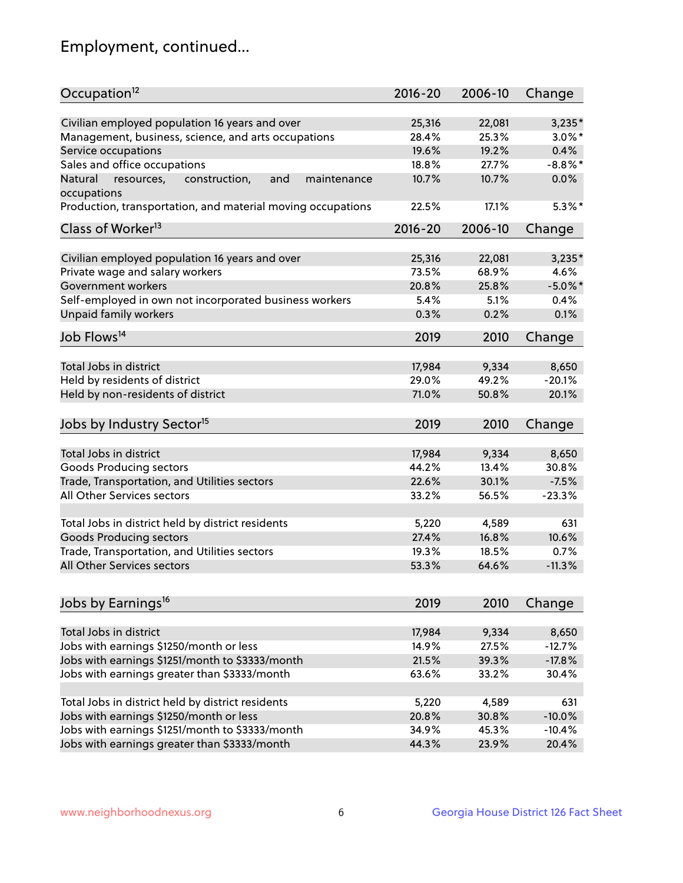## Employment, continued...

| Occupation <sup>12</sup>                                     | $2016 - 20$ | 2006-10 | Change     |
|--------------------------------------------------------------|-------------|---------|------------|
| Civilian employed population 16 years and over               | 25,316      | 22,081  | $3,235*$   |
| Management, business, science, and arts occupations          | 28.4%       | 25.3%   | $3.0\%$ *  |
| Service occupations                                          | 19.6%       | 19.2%   | 0.4%       |
| Sales and office occupations                                 | 18.8%       | 27.7%   | $-8.8\%$ * |
| Natural<br>and<br>resources,<br>construction,<br>maintenance | 10.7%       | 10.7%   | 0.0%       |
| occupations                                                  |             |         |            |
| Production, transportation, and material moving occupations  | 22.5%       | 17.1%   | $5.3\%$ *  |
| Class of Worker <sup>13</sup>                                | $2016 - 20$ | 2006-10 | Change     |
| Civilian employed population 16 years and over               | 25,316      | 22,081  | $3,235*$   |
| Private wage and salary workers                              | 73.5%       | 68.9%   | 4.6%       |
| Government workers                                           | 20.8%       | 25.8%   | $-5.0\%$ * |
| Self-employed in own not incorporated business workers       | 5.4%        | 5.1%    | 0.4%       |
|                                                              | 0.3%        | 0.2%    | 0.1%       |
| Unpaid family workers                                        |             |         |            |
| Job Flows <sup>14</sup>                                      | 2019        | 2010    | Change     |
| Total Jobs in district                                       | 17,984      | 9,334   | 8,650      |
|                                                              | 29.0%       | 49.2%   | $-20.1%$   |
| Held by residents of district                                |             |         |            |
| Held by non-residents of district                            | 71.0%       | 50.8%   | 20.1%      |
| Jobs by Industry Sector <sup>15</sup>                        | 2019        | 2010    | Change     |
| Total Jobs in district                                       | 17,984      | 9,334   | 8,650      |
| Goods Producing sectors                                      | 44.2%       | 13.4%   | 30.8%      |
| Trade, Transportation, and Utilities sectors                 | 22.6%       | 30.1%   | $-7.5%$    |
| All Other Services sectors                                   | 33.2%       | 56.5%   | $-23.3%$   |
|                                                              |             |         |            |
| Total Jobs in district held by district residents            | 5,220       | 4,589   | 631        |
| <b>Goods Producing sectors</b>                               | 27.4%       | 16.8%   | 10.6%      |
| Trade, Transportation, and Utilities sectors                 | 19.3%       | 18.5%   | 0.7%       |
| All Other Services sectors                                   | 53.3%       | 64.6%   | $-11.3%$   |
|                                                              |             |         |            |
| Jobs by Earnings <sup>16</sup>                               | 2019        | 2010    | Change     |
| Total Jobs in district                                       | 17,984      | 9,334   | 8,650      |
| Jobs with earnings \$1250/month or less                      | 14.9%       | 27.5%   | $-12.7%$   |
| Jobs with earnings \$1251/month to \$3333/month              | 21.5%       | 39.3%   | $-17.8%$   |
| Jobs with earnings greater than \$3333/month                 | 63.6%       | 33.2%   | 30.4%      |
|                                                              |             |         |            |
| Total Jobs in district held by district residents            | 5,220       | 4,589   | 631        |
| Jobs with earnings \$1250/month or less                      | 20.8%       | 30.8%   | $-10.0%$   |
| Jobs with earnings \$1251/month to \$3333/month              | 34.9%       | 45.3%   | $-10.4%$   |
| Jobs with earnings greater than \$3333/month                 | 44.3%       | 23.9%   | 20.4%      |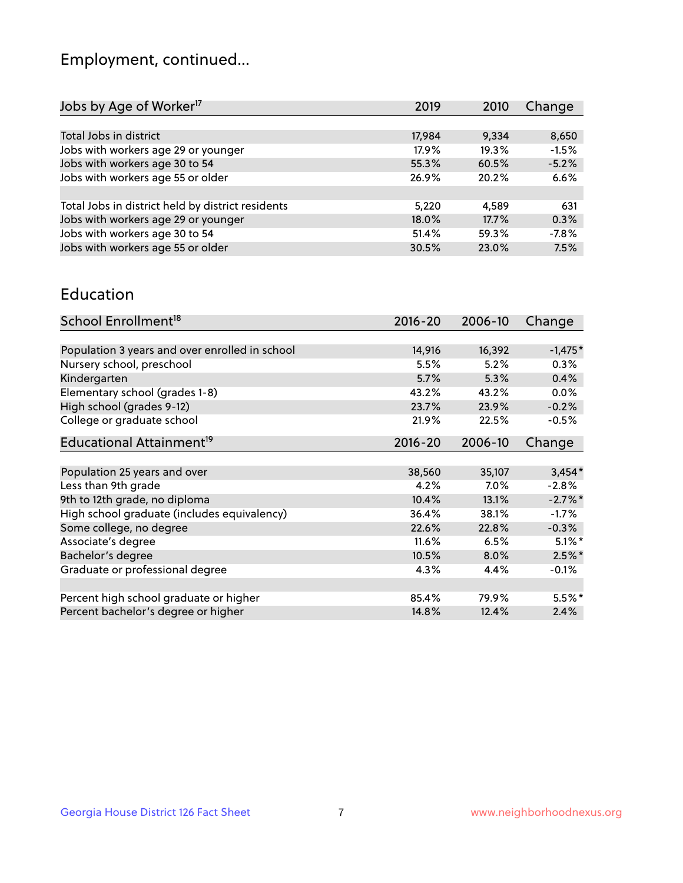## Employment, continued...

| 2019   | 2010  | Change  |
|--------|-------|---------|
|        |       |         |
| 17,984 | 9,334 | 8,650   |
| 17.9%  | 19.3% | $-1.5%$ |
| 55.3%  | 60.5% | $-5.2%$ |
| 26.9%  | 20.2% | 6.6%    |
|        |       |         |
| 5,220  | 4,589 | 631     |
| 18.0%  | 17.7% | 0.3%    |
| 51.4%  | 59.3% | $-7.8%$ |
| 30.5%  | 23.0% | 7.5%    |
|        |       |         |

#### Education

| School Enrollment <sup>18</sup>                | $2016 - 20$ | 2006-10 | Change    |
|------------------------------------------------|-------------|---------|-----------|
|                                                |             |         |           |
| Population 3 years and over enrolled in school | 14,916      | 16,392  | $-1,475*$ |
| Nursery school, preschool                      | 5.5%        | 5.2%    | 0.3%      |
| Kindergarten                                   | 5.7%        | 5.3%    | 0.4%      |
| Elementary school (grades 1-8)                 | 43.2%       | 43.2%   | 0.0%      |
| High school (grades 9-12)                      | 23.7%       | 23.9%   | $-0.2%$   |
| College or graduate school                     | 21.9%       | 22.5%   | $-0.5%$   |
| Educational Attainment <sup>19</sup>           | $2016 - 20$ | 2006-10 | Change    |
|                                                |             |         |           |
| Population 25 years and over                   | 38,560      | 35,107  | $3,454*$  |
| Less than 9th grade                            | 4.2%        | $7.0\%$ | $-2.8%$   |
| 9th to 12th grade, no diploma                  | 10.4%       | 13.1%   | $-2.7%$ * |
| High school graduate (includes equivalency)    | 36.4%       | 38.1%   | $-1.7\%$  |
| Some college, no degree                        | 22.6%       | 22.8%   | $-0.3%$   |
| Associate's degree                             | 11.6%       | 6.5%    | $5.1\%$ * |
| Bachelor's degree                              | 10.5%       | 8.0%    | $2.5\%$ * |
| Graduate or professional degree                | 4.3%        | 4.4%    | $-0.1%$   |
|                                                |             |         |           |
| Percent high school graduate or higher         | 85.4%       | 79.9%   | $5.5%$ *  |
| Percent bachelor's degree or higher            | 14.8%       | 12.4%   | 2.4%      |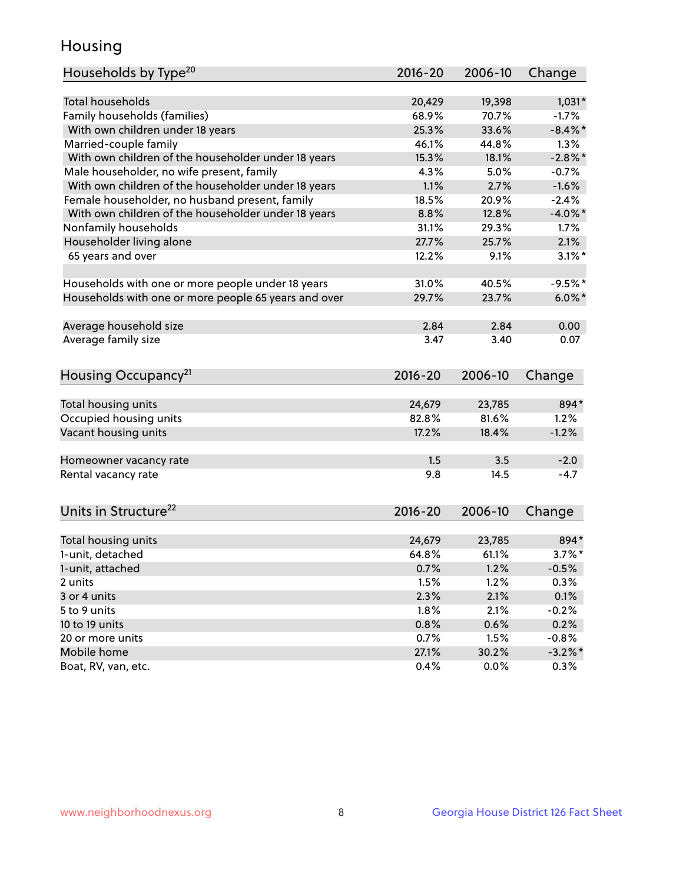## Housing

| Households by Type <sup>20</sup>                     | 2016-20     | 2006-10 | Change     |
|------------------------------------------------------|-------------|---------|------------|
|                                                      |             |         |            |
| <b>Total households</b>                              | 20,429      | 19,398  | $1,031*$   |
| Family households (families)                         | 68.9%       | 70.7%   | $-1.7%$    |
| With own children under 18 years                     | 25.3%       | 33.6%   | $-8.4\%$ * |
| Married-couple family                                | 46.1%       | 44.8%   | 1.3%       |
| With own children of the householder under 18 years  | 15.3%       | 18.1%   | $-2.8\%$ * |
| Male householder, no wife present, family            | 4.3%        | 5.0%    | $-0.7%$    |
| With own children of the householder under 18 years  | 1.1%        | 2.7%    | $-1.6%$    |
| Female householder, no husband present, family       | 18.5%       | 20.9%   | $-2.4%$    |
| With own children of the householder under 18 years  | 8.8%        | 12.8%   | $-4.0\%$ * |
| Nonfamily households                                 | 31.1%       | 29.3%   | 1.7%       |
| Householder living alone                             | 27.7%       | 25.7%   | 2.1%       |
| 65 years and over                                    | 12.2%       | 9.1%    | $3.1\%$ *  |
|                                                      |             |         |            |
| Households with one or more people under 18 years    | 31.0%       | 40.5%   | $-9.5%$    |
| Households with one or more people 65 years and over | 29.7%       | 23.7%   | $6.0\%$ *  |
|                                                      |             |         |            |
| Average household size                               | 2.84        | 2.84    | 0.00       |
| Average family size                                  | 3.47        | 3.40    | 0.07       |
|                                                      |             |         |            |
|                                                      | $2016 - 20$ |         |            |
| Housing Occupancy <sup>21</sup>                      |             | 2006-10 | Change     |
| Total housing units                                  | 24,679      | 23,785  | 894*       |
| Occupied housing units                               | 82.8%       | 81.6%   | 1.2%       |
| Vacant housing units                                 | 17.2%       | 18.4%   | $-1.2%$    |
|                                                      |             |         |            |
| Homeowner vacancy rate                               | 1.5         | 3.5     | $-2.0$     |
| Rental vacancy rate                                  | 9.8         | 14.5    | $-4.7$     |
|                                                      |             |         |            |
|                                                      |             |         |            |
| Units in Structure <sup>22</sup>                     | 2016-20     | 2006-10 | Change     |
| Total housing units                                  | 24,679      | 23,785  | 894*       |
| 1-unit, detached                                     | 64.8%       | 61.1%   | $3.7\%$ *  |
|                                                      | 0.7%        | 1.2%    | $-0.5%$    |
| 1-unit, attached                                     |             |         |            |
| 2 units                                              | 1.5%        | 1.2%    | 0.3%       |
| 3 or 4 units                                         | 2.3%        | 2.1%    | 0.1%       |
| 5 to 9 units                                         | 1.8%        | 2.1%    | $-0.2%$    |
| 10 to 19 units                                       | 0.8%        | 0.6%    | 0.2%       |
| 20 or more units                                     | 0.7%        | 1.5%    | $-0.8%$    |
| Mobile home                                          | 27.1%       | 30.2%   | $-3.2\%$ * |
| Boat, RV, van, etc.                                  | 0.4%        | 0.0%    | 0.3%       |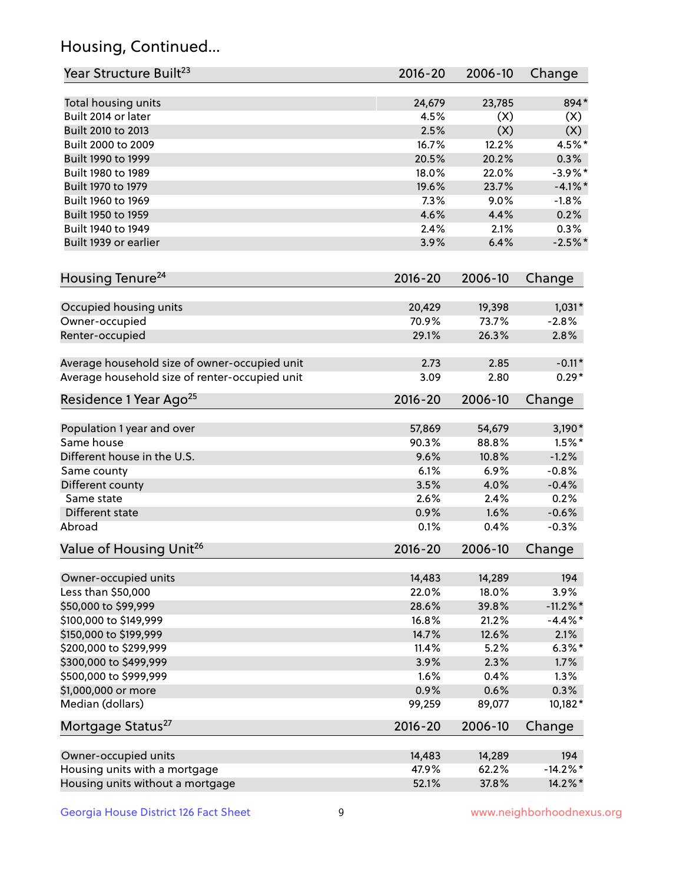## Housing, Continued...

| Year Structure Built <sup>23</sup>             | 2016-20     | 2006-10 | Change      |
|------------------------------------------------|-------------|---------|-------------|
| Total housing units                            | 24,679      | 23,785  | 894*        |
| Built 2014 or later                            | 4.5%        | (X)     | (X)         |
| Built 2010 to 2013                             | 2.5%        | (X)     | (X)         |
| Built 2000 to 2009                             | 16.7%       | 12.2%   | 4.5%*       |
| Built 1990 to 1999                             | 20.5%       | 20.2%   | 0.3%        |
| Built 1980 to 1989                             | 18.0%       | 22.0%   | $-3.9%$ *   |
| Built 1970 to 1979                             | 19.6%       | 23.7%   | $-4.1\%$ *  |
| Built 1960 to 1969                             | 7.3%        | 9.0%    | $-1.8%$     |
| Built 1950 to 1959                             | 4.6%        | 4.4%    | 0.2%        |
| Built 1940 to 1949                             | 2.4%        | 2.1%    | 0.3%        |
| Built 1939 or earlier                          | 3.9%        | 6.4%    | $-2.5%$     |
|                                                |             |         |             |
| Housing Tenure <sup>24</sup>                   | $2016 - 20$ | 2006-10 | Change      |
| Occupied housing units                         | 20,429      | 19,398  | $1,031*$    |
| Owner-occupied                                 | 70.9%       | 73.7%   | $-2.8%$     |
| Renter-occupied                                | 29.1%       | 26.3%   | 2.8%        |
| Average household size of owner-occupied unit  | 2.73        | 2.85    | $-0.11*$    |
| Average household size of renter-occupied unit | 3.09        | 2.80    | $0.29*$     |
| Residence 1 Year Ago <sup>25</sup>             | $2016 - 20$ | 2006-10 | Change      |
| Population 1 year and over                     | 57,869      | 54,679  | $3,190*$    |
| Same house                                     | 90.3%       | 88.8%   | $1.5\%$ *   |
| Different house in the U.S.                    | 9.6%        | 10.8%   | $-1.2%$     |
| Same county                                    | 6.1%        | 6.9%    | $-0.8%$     |
| Different county                               | 3.5%        | 4.0%    | $-0.4%$     |
| Same state                                     | 2.6%        | 2.4%    | 0.2%        |
|                                                |             | 1.6%    |             |
| Different state                                | 0.9%        |         | $-0.6%$     |
| Abroad                                         | 0.1%        | 0.4%    | $-0.3%$     |
| Value of Housing Unit <sup>26</sup>            | $2016 - 20$ | 2006-10 | Change      |
| Owner-occupied units                           | 14,483      | 14,289  | 194         |
| Less than \$50,000                             | 22.0%       | 18.0%   | 3.9%        |
| \$50,000 to \$99,999                           | 28.6%       | 39.8%   | $-11.2\%$ * |
| \$100,000 to \$149,999                         | 16.8%       | 21.2%   | $-4.4\%$ *  |
| \$150,000 to \$199,999                         | 14.7%       | 12.6%   | 2.1%        |
| \$200,000 to \$299,999                         | 11.4%       | 5.2%    | $6.3\%$ *   |
| \$300,000 to \$499,999                         | 3.9%        | 2.3%    | 1.7%        |
| \$500,000 to \$999,999                         | 1.6%        | 0.4%    | 1.3%        |
| \$1,000,000 or more                            | 0.9%        | 0.6%    | 0.3%        |
| Median (dollars)                               | 99,259      | 89,077  | 10,182*     |
| Mortgage Status <sup>27</sup>                  | $2016 - 20$ | 2006-10 | Change      |
| Owner-occupied units                           | 14,483      | 14,289  | 194         |
| Housing units with a mortgage                  | 47.9%       | 62.2%   | $-14.2\%$ * |
| Housing units without a mortgage               | 52.1%       | 37.8%   | 14.2%*      |
|                                                |             |         |             |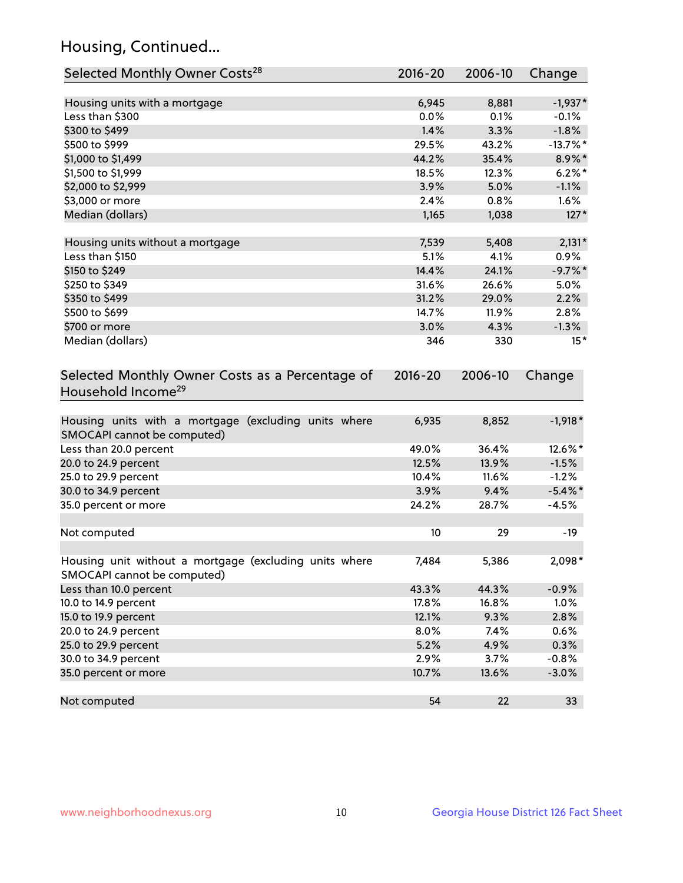## Housing, Continued...

| Selected Monthly Owner Costs <sup>28</sup>                                            | 2016-20     | 2006-10 | Change      |
|---------------------------------------------------------------------------------------|-------------|---------|-------------|
| Housing units with a mortgage                                                         | 6,945       | 8,881   | $-1,937*$   |
| Less than \$300                                                                       | 0.0%        | 0.1%    | $-0.1%$     |
| \$300 to \$499                                                                        | 1.4%        | 3.3%    | $-1.8%$     |
| \$500 to \$999                                                                        | 29.5%       | 43.2%   | $-13.7\%$ * |
| \$1,000 to \$1,499                                                                    | 44.2%       | 35.4%   | 8.9%*       |
| \$1,500 to \$1,999                                                                    | 18.5%       | 12.3%   | $6.2\%$ *   |
| \$2,000 to \$2,999                                                                    | 3.9%        | 5.0%    | $-1.1%$     |
| \$3,000 or more                                                                       | 2.4%        | 0.8%    | $1.6\%$     |
| Median (dollars)                                                                      | 1,165       | 1,038   | $127*$      |
|                                                                                       |             |         |             |
| Housing units without a mortgage                                                      | 7,539       | 5,408   | $2,131*$    |
| Less than \$150                                                                       | 5.1%        | 4.1%    | 0.9%        |
| \$150 to \$249                                                                        | 14.4%       | 24.1%   | $-9.7%$ *   |
| \$250 to \$349                                                                        | 31.6%       | 26.6%   | 5.0%        |
| \$350 to \$499                                                                        | 31.2%       | 29.0%   | 2.2%        |
| \$500 to \$699                                                                        | 14.7%       | 11.9%   | 2.8%        |
| \$700 or more                                                                         | 3.0%        | 4.3%    | $-1.3%$     |
| Median (dollars)                                                                      | 346         | 330     | $15*$       |
| Selected Monthly Owner Costs as a Percentage of<br>Household Income <sup>29</sup>     | $2016 - 20$ | 2006-10 | Change      |
| Housing units with a mortgage (excluding units where<br>SMOCAPI cannot be computed)   | 6,935       | 8,852   | $-1,918*$   |
| Less than 20.0 percent                                                                | 49.0%       | 36.4%   | 12.6%*      |
| 20.0 to 24.9 percent                                                                  | 12.5%       | 13.9%   | $-1.5%$     |
| 25.0 to 29.9 percent                                                                  | 10.4%       | 11.6%   | $-1.2%$     |
| 30.0 to 34.9 percent                                                                  | 3.9%        | 9.4%    | $-5.4\%$ *  |
| 35.0 percent or more                                                                  | 24.2%       | 28.7%   | $-4.5%$     |
| Not computed                                                                          | 10          | 29      | $-19$       |
| Housing unit without a mortgage (excluding units where<br>SMOCAPI cannot be computed) | 7,484       | 5,386   | 2,098*      |
| Less than 10.0 percent                                                                | 43.3%       | 44.3%   | $-0.9%$     |
| 10.0 to 14.9 percent                                                                  | 17.8%       | 16.8%   | 1.0%        |
| 15.0 to 19.9 percent                                                                  | 12.1%       | 9.3%    | 2.8%        |
| 20.0 to 24.9 percent                                                                  | 8.0%        | 7.4%    | 0.6%        |
| 25.0 to 29.9 percent                                                                  | 5.2%        | 4.9%    | 0.3%        |
| 30.0 to 34.9 percent                                                                  | 2.9%        | 3.7%    | $-0.8%$     |
| 35.0 percent or more                                                                  | 10.7%       | 13.6%   | $-3.0%$     |
| Not computed                                                                          | 54          | 22      | 33          |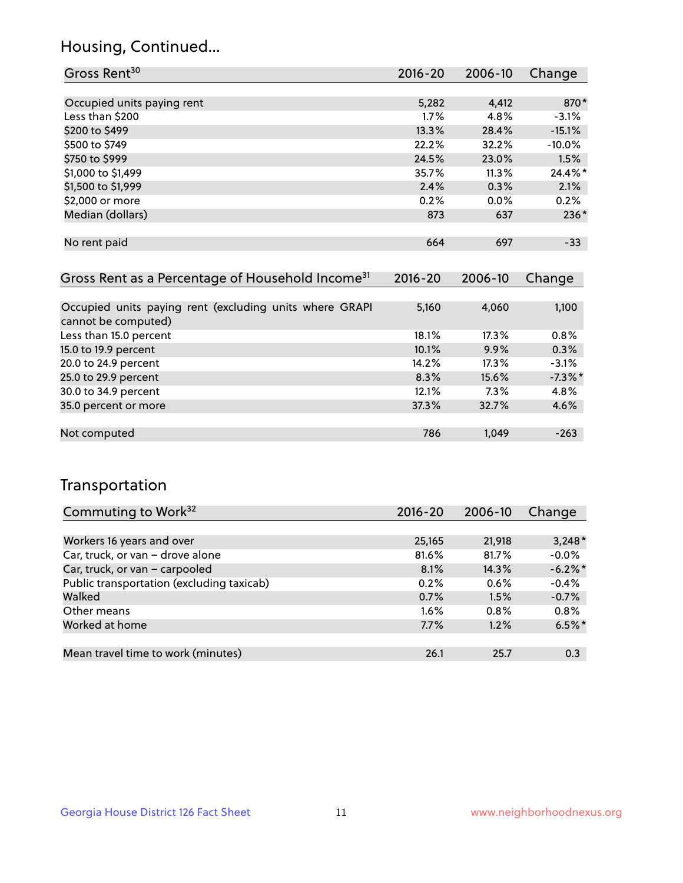## Housing, Continued...

| Gross Rent <sup>30</sup>   | 2016-20 | 2006-10 | Change   |
|----------------------------|---------|---------|----------|
|                            |         |         |          |
| Occupied units paying rent | 5,282   | 4,412   | 870*     |
| Less than \$200            | 1.7%    | 4.8%    | $-3.1%$  |
| \$200 to \$499             | 13.3%   | 28.4%   | $-15.1%$ |
| \$500 to \$749             | 22.2%   | 32.2%   | $-10.0%$ |
| \$750 to \$999             | 24.5%   | 23.0%   | 1.5%     |
| \$1,000 to \$1,499         | 35.7%   | 11.3%   | 24.4%*   |
| \$1,500 to \$1,999         | 2.4%    | 0.3%    | 2.1%     |
| \$2,000 or more            | 0.2%    | $0.0\%$ | 0.2%     |
| Median (dollars)           | 873     | 637     | $236*$   |
|                            |         |         |          |
| No rent paid               | 664     | 697     | $-33$    |

| Gross Rent as a Percentage of Household Income <sup>31</sup>                   | $2016 - 20$ | 2006-10 | Change    |
|--------------------------------------------------------------------------------|-------------|---------|-----------|
|                                                                                |             |         |           |
| Occupied units paying rent (excluding units where GRAPI<br>cannot be computed) | 5,160       | 4,060   | 1,100     |
| Less than 15.0 percent                                                         | 18.1%       | 17.3%   | 0.8%      |
| 15.0 to 19.9 percent                                                           | 10.1%       | 9.9%    | 0.3%      |
| 20.0 to 24.9 percent                                                           | 14.2%       | 17.3%   | $-3.1%$   |
| 25.0 to 29.9 percent                                                           | 8.3%        | 15.6%   | $-7.3%$ * |
| 30.0 to 34.9 percent                                                           | 12.1%       | $7.3\%$ | 4.8%      |
| 35.0 percent or more                                                           | 37.3%       | 32.7%   | 4.6%      |
|                                                                                |             |         |           |
| Not computed                                                                   | 786         | 1.049   | $-263$    |

## Transportation

| Commuting to Work <sup>32</sup>           | 2016-20 | 2006-10 | Change     |
|-------------------------------------------|---------|---------|------------|
|                                           |         |         |            |
| Workers 16 years and over                 | 25,165  | 21,918  | $3,248*$   |
| Car, truck, or van - drove alone          | 81.6%   | 81.7%   | $-0.0%$    |
| Car, truck, or van - carpooled            | 8.1%    | 14.3%   | $-6.2\%$ * |
| Public transportation (excluding taxicab) | 0.2%    | 0.6%    | $-0.4%$    |
| Walked                                    | 0.7%    | 1.5%    | $-0.7%$    |
| Other means                               | $1.6\%$ | $0.8\%$ | 0.8%       |
| Worked at home                            | 7.7%    | 1.2%    | $6.5%$ *   |
|                                           |         |         |            |
| Mean travel time to work (minutes)        | 26.1    | 25.7    | 0.3        |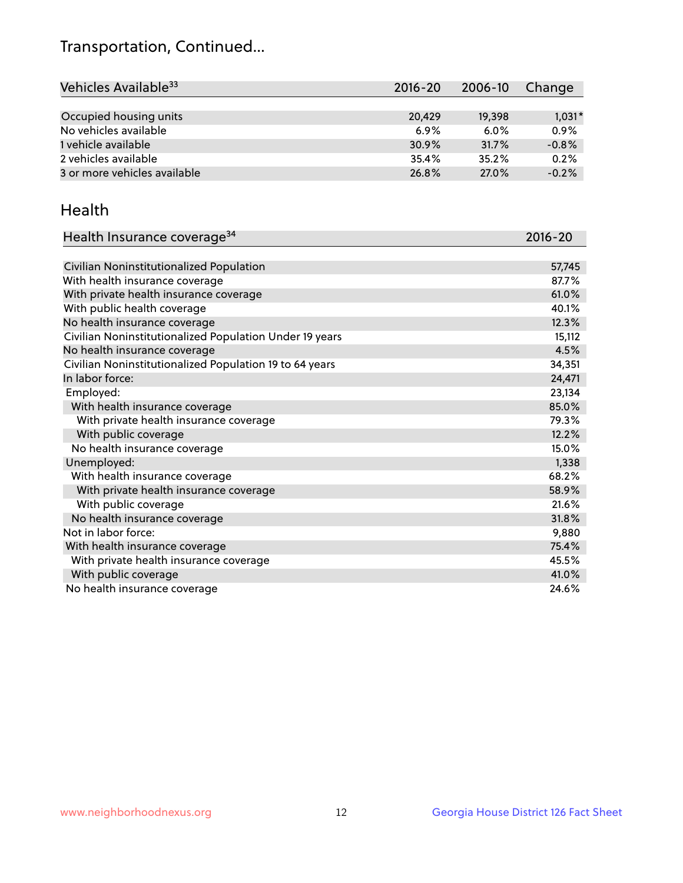## Transportation, Continued...

| Vehicles Available <sup>33</sup> | $2016 - 20$ | 2006-10 | Change   |
|----------------------------------|-------------|---------|----------|
|                                  |             |         |          |
| Occupied housing units           | 20,429      | 19,398  | $1,031*$ |
| No vehicles available            | $6.9\%$     | $6.0\%$ | 0.9%     |
| 1 vehicle available              | 30.9%       | 31.7%   | $-0.8%$  |
| 2 vehicles available             | 35.4%       | 35.2%   | 0.2%     |
| 3 or more vehicles available     | 26.8%       | 27.0%   | $-0.2%$  |

#### Health

| Health Insurance coverage <sup>34</sup>                 | 2016-20 |
|---------------------------------------------------------|---------|
|                                                         |         |
| Civilian Noninstitutionalized Population                | 57,745  |
| With health insurance coverage                          | 87.7%   |
| With private health insurance coverage                  | 61.0%   |
| With public health coverage                             | 40.1%   |
| No health insurance coverage                            | 12.3%   |
| Civilian Noninstitutionalized Population Under 19 years | 15,112  |
| No health insurance coverage                            | 4.5%    |
| Civilian Noninstitutionalized Population 19 to 64 years | 34,351  |
| In labor force:                                         | 24,471  |
| Employed:                                               | 23,134  |
| With health insurance coverage                          | 85.0%   |
| With private health insurance coverage                  | 79.3%   |
| With public coverage                                    | 12.2%   |
| No health insurance coverage                            | 15.0%   |
| Unemployed:                                             | 1,338   |
| With health insurance coverage                          | 68.2%   |
| With private health insurance coverage                  | 58.9%   |
| With public coverage                                    | 21.6%   |
| No health insurance coverage                            | 31.8%   |
| Not in labor force:                                     | 9,880   |
| With health insurance coverage                          | 75.4%   |
| With private health insurance coverage                  | 45.5%   |
| With public coverage                                    | 41.0%   |
| No health insurance coverage                            | 24.6%   |